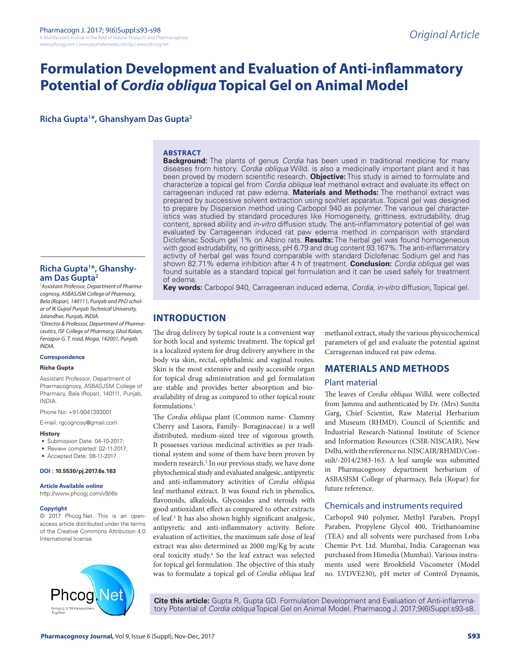# **Formulation Development and Evaluation of Anti-inflammatory Potential of** *Cordia obliqua* **Topical Gel on Animal Model**

**Richa Gupta1 \*, Ghanshyam Das Gupta2**

#### **ABSTRACT**

**Background:** The plants of genus *Cordia* has been used in traditional medicine for many diseases from history. *Cordia obliqua* Willd. is also a medicinally important plant and it has been proved by modern scientific research. **Objective:** This study is aimed to formulate and characterize a topical gel from *Cordia obliqua* leaf methanol extract and evaluate its effect on carrageenan induced rat paw edema. **Materials and Methods:** The methanol extract was prepared by successive solvent extraction using soxhlet apparatus. Topical gel was designed to prepare by Dispersion method using Carbopol 940 as polymer. The various gel characteristics was studied by standard procedures like Homogeneity, grittiness, extrudability, drug content, spread ability and *in-vitro* diffusion study. The anti-inflammatory potential of gel was evaluated by Carrageenan induced rat paw edema method in comparison with standard Diclofenac Sodium gel 1% on Albino rats. **Results:** The herbal gel was found homogeneous with good extrudability, no grittiness, pH 6.79 and drug content 93.167%. The anti-inflammatory activity of herbal gel was found comparable with standard Diclofenac Sodium gel and has shown 82.71% edema inhibition after 4 h of treatment. **Conclusion:** *Cordia obliqua* gel was found suitable as a standard topical gel formulation and it can be used safely for treatment of edema.

**Key words:** Carbopol 940, Carrageenan induced edema, *Cordia*, *in-vitro* diffusion, Topical gel.

# **INTRODUCTION**

The drug delivery by topical route is a convenient way for both local and systemic treatment. The topical gel is a localized system for drug delivery anywhere in the body via skin, rectal, ophthalmic and vaginal routes. Skin is the most extensive and easily accessible organ for topical drug administration and gel formulation are stable and provides better absorption and bioavailability of drug as compared to other topical route formulations.<sup>1</sup>

The *Cordia obliqua* plant (Common name- Clammy Cherry and Lasora, Family- Boraginaceae) is a well distributed, medium-sized tree of vigorous growth. It possesses various medicinal activities as per traditional system and some of them have been proven by modern research.2 In our previous study, we have done phytochemical study and evaluated analgesic, antipyretic and anti-inflammatory activities of *Cordia obliqua*  leaf methanol extract. It was found rich in phenolics, flavonoids, alkaloids, Glycosides and steroids with good antioxidant effect as compared to other extracts of leaf.3 It has also shown highly significant analgesic, antipyretic and anti-inflammatory activity. Before evaluation of activities, the maximum safe dose of leaf extract was also determined as 2000 mg/Kg by acute oral toxicity study.4 So the leaf extract was selected for topical gel formulation. The objective of this study was to formulate a topical gel of *Cordia obliqua* leaf

methanol extract, study the various physicochemical parameters of gel and evaluate the potential against Carrageenan induced rat paw edema.

# **MATERIALS AND METHODS**

#### Plant material

The leaves of *Cordia obliqua* Willd. were collected from Jammu and authenticated by Dr. (Mrs) Sunita Garg, Chief Scientist, Raw Material Herbarium and Museum (RHMD), Council of Scientific and Industrial Research-National Institute of Science and Information Resources (CSIR-NISCAIR), New Delhi, with the reference no. NISCAIR/RHMD/Consult/-2014/2383-163. A leaf sample was submitted in Pharmacognosy department herbarium of ASBASJSM College of pharmacy, Bela (Ropar) for future reference.

### Chemicals and instruments required

Carbopol 940 polymer, Methyl Paraben, Propyl Paraben, Propylene Glycol 400, Triethanoamine (TEA) and all solvents were purchased from Loba Chemie Pvt. Ltd. Mumbai, India. Carageenan was purchased from Himedia (Mumbai). Various instruments used were Brookfield Viscometer (Model no. LVDVE230), pH meter of Control Dynamis,

**Cite this article:** Gupta R, Gupta GD. Formulation Development and Evaluation of Anti-inflammatory Potential of *Cordia obliqua* Topical Gel on Animal Model. Pharmacog J. 2017;9(6)Suppl:s93-s8.

# **Richa Gupta1 \*, Ghanshyam Das Gupta2**

*1 Assistant Professor, Department of Pharmacognosy, ASBASJSM College of Pharmacy, Bela (Ropar), 140111, Punjab and PhD scholar of IK Gujral Punjab Technical University, Jalandhar, Punjab, INDIA.*

*2 Director & Professor, Department of Pharmaceutics, ISF College of Pharmacy, Ghal Kalan, Ferozpur G. T. road, Moga, 142001, Punjab, INDIA.*

**Correspondence**

#### **Richa Gupta**

Assistant Professor, Department of Pharmacognosy, ASBASJSM College of Pharmacy, Bela (Ropar), 140111, Punjab, INDIA.

Phone No: +91-9041393001

E-mail: rgcognosy@gmail.com

#### **History**

- Submission Date: 04-10-2017:
- Review completed: 02-11-2017;
- Accepted Date: 08-11-2017

#### **DOI : 10.5530/pj.2017.6s.163**

**Article Available online** 

http://www.phcogj.com/v9/i6s

#### **Copyright**

© 2017 Phcog.Net. This is an openaccess article distributed under the terms of the Creative Commons Attribution 4.0 International license.



**Pharmacognosy Journal, Vol 9, Issue 6 (Suppl), Nov-Dec, 2017** Service of the state of the state of the state of the state of the state of the state of the state of the state of the state of the state of the state of the s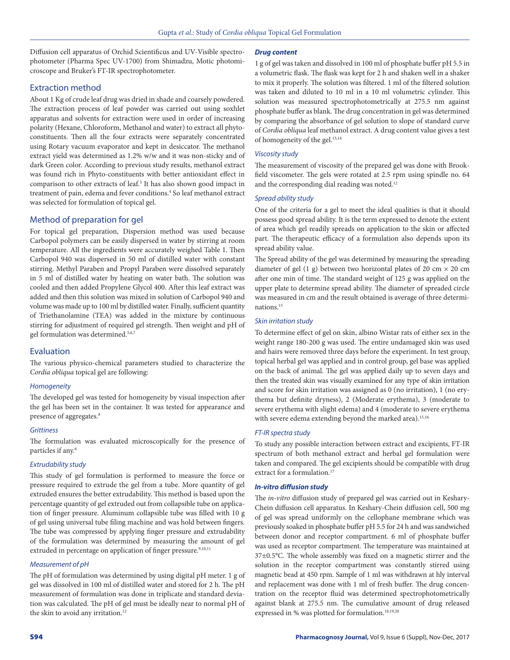Diffusion cell apparatus of Orchid Scientificus and UV-Visible spectrophotometer (Pharma Spec UV-1700) from Shimadzu, Motic photomicroscope and Bruker's FT-IR spectrophotometer.

# Extraction method

About 1 Kg of crude leaf drug was dried in shade and coarsely powdered. The extraction process of leaf powder was carried out using soxhlet apparatus and solvents for extraction were used in order of increasing polarity (Hexane, Chloroform, Methanol and water) to extract all phytoconstituents. Then all the four extracts were separately concentrated using Rotary vacuum evaporator and kept in desiccator. The methanol extract yield was determined as 1.2% w/w and it was non-sticky and of dark Green color. According to previous study results, methanol extract was found rich in Phyto-constituents with better antioxidant effect in comparison to other extracts of leaf.<sup>3</sup> It has also shown good impact in treatment of pain, edema and fever conditions.<sup>4</sup> So leaf methanol extract was selected for formulation of topical gel.

# Method of preparation for gel

For topical gel preparation, Dispersion method was used because Carbopol polymers can be easily dispersed in water by stirring at room temperature. All the ingredients were accurately weighed Table 1. Then Carbopol 940 was dispersed in 50 ml of distilled water with constant stirring. Methyl Paraben and Propyl Paraben were dissolved separately in 5 ml of distilled water by heating on water bath. The solution was cooled and then added Propylene Glycol 400. After this leaf extract was added and then this solution was mixed in solution of Carbopol 940 and volume was made up to 100 ml by distilled water. Finally, sufficient quantity of Triethanolamine (TEA) was added in the mixture by continuous stirring for adjustment of required gel strength. Then weight and pH of gel formulation was determined.<sup>5,6,7</sup>

# Evaluation

The various physico-chemical parameters studied to characterize the *Cordia obliqua* topical gel are following:

#### *Homogeneity*

The developed gel was tested for homogeneity by visual inspection after the gel has been set in the container. It was tested for appearance and presence of aggregates.<sup>8</sup>

#### *Grittiness*

The formulation was evaluated microscopically for the presence of particles if any.<sup>6</sup>

#### *Extrudability study*

This study of gel formulation is performed to measure the force or pressure required to extrude the gel from a tube. More quantity of gel extruded ensures the better extrudability. This method is based upon the percentage quantity of gel extruded out from collapsible tube on application of finger pressure. Aluminum collapsible tube was filled with 10 g of gel using universal tube filing machine and was hold between fingers. The tube was compressed by applying finger pressure and extrudability of the formulation was determined by measuring the amount of gel extruded in percentage on application of finger pressure.<sup>9,10,11</sup>

#### *Measurement of pH*

The pH of formulation was determined by using digital pH meter. 1 g of gel was dissolved in 100 ml of distilled water and stored for 2 h. The pH measurement of formulation was done in triplicate and standard deviation was calculated. The pH of gel must be ideally near to normal pH of the skin to avoid any irritation.<sup>12</sup>

#### *Drug content*

1 g of gel was taken and dissolved in 100 ml of phosphate buffer pH 5.5 in a volumetric flask. The flask was kept for 2 h and shaken well in a shaker to mix it properly. The solution was filtered. 1 ml of the filtered solution was taken and diluted to 10 ml in a 10 ml volumetric cylinder. This solution was measured spectrophotometrically at 275.5 nm against phosphate buffer as blank. The drug concentration in gel was determined by comparing the absorbance of gel solution to slope of standard curve of *Cordia obliqua* leaf methanol extract. A drug content value gives a test of homogeneity of the gel.13,14

#### *Viscosity study*

The measurement of viscosity of the prepared gel was done with Brookfield viscometer. The gels were rotated at 2.5 rpm using spindle no. 64 and the corresponding dial reading was noted.<sup>12</sup>

#### *Spread ability study*

One of the criteria for a gel to meet the ideal qualities is that it should possess good spread ability. It is the term expressed to denote the extent of area which gel readily spreads on application to the skin or affected part. The therapeutic efficacy of a formulation also depends upon its spread ability value.

The Spread ability of the gel was determined by measuring the spreading diameter of gel (1 g) between two horizontal plates of 20 cm  $\times$  20 cm after one min of time. The standard weight of 125 g was applied on the upper plate to determine spread ability. The diameter of spreaded circle was measured in cm and the result obtained is average of three determinations.15

#### *Skin irritation study*

To determine effect of gel on skin, albino Wistar rats of either sex in the weight range 180-200 g was used. The entire undamaged skin was used and hairs were removed three days before the experiment. In test group, topical herbal gel was applied and in control group, gel base was applied on the back of animal. The gel was applied daily up to seven days and then the treated skin was visually examined for any type of skin irritation and score for skin irritation was assigned as 0 (no irritation), 1 (no erythema but definite dryness), 2 (Moderate erythema), 3 (moderate to severe erythema with slight edema) and 4 (moderate to severe erythema with severe edema extending beyond the marked area).<sup>15,16</sup>

#### *FT-IR spectra study*

To study any possible interaction between extract and excipients, FT-IR spectrum of both methanol extract and herbal gel formulation were taken and compared. The gel excipients should be compatible with drug extract for a formulation.<sup>17</sup>

#### *In-vitro diffusion study*

The *in-vitro* diffusion study of prepared gel was carried out in Keshary-Chein diffusion cell apparatus. In Keshary-Chein diffusion cell, 500 mg of gel was spread uniformly on the cellophane membrane which was previously soaked in phosphate buffer pH 5.5 for 24 h and was sandwiched between donor and receptor compartment. 6 ml of phosphate buffer was used as receptor compartment. The temperature was maintained at 37±0.5°C. The whole assembly was fixed on a magnetic stirrer and the solution in the receptor compartment was constantly stirred using magnetic bead at 450 rpm. Sample of 1 ml was withdrawn at hly interval and replacement was done with 1 ml of fresh buffer. The drug concentration on the receptor fluid was determined spectrophotometrically against blank at 275.5 nm. The cumulative amount of drug released expressed in % was plotted for formulation.<sup>18,19,20</sup>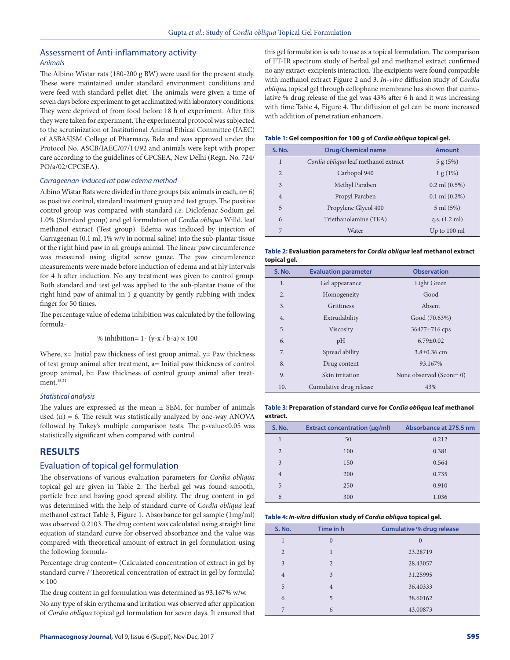# Assessment of Anti-inflammatory activity *Animals*

The Albino Wistar rats (180-200 g BW) were used for the present study. These were maintained under standard environment conditions and were feed with standard pellet diet. The animals were given a time of seven days before experiment to get acclimatized with laboratory conditions. They were deprived of from food before 18 h of experiment. After this they were taken for experiment. The experimental protocol was subjected to the scrutinization of Institutional Animal Ethical Committee (IAEC) of ASBASJSM College of Pharmacy, Bela and was approved under the Protocol No. ASCB/IAEC/07/14/92 and animals were kept with proper care according to the guidelines of CPCSEA, New Delhi (Regn. No. 724/ PO/a/02/CPCSEA).

#### *Carrageenan-induced rat paw edema method*

Albino Wistar Rats were divided in three groups (six animals in each, n= 6) as positive control, standard treatment group and test group. The positive control group was compared with standard *i.e.* Diclofenac Sodium gel 1.0% (Standard group) and gel formulation of *Cordia obliqua* Willd. leaf methanol extract (Test group). Edema was induced by injection of Carrageenan (0.1 ml, 1% w/v in normal saline) into the sub-plantar tissue of the right hind paw in all groups animal. The linear paw circumference was measured using digital screw gauze. The paw circumference measurements were made before induction of edema and at hly intervals for 4 h after induction. No any treatment was given to control group. Both standard and test gel was applied to the sub-plantar tissue of the right hind paw of animal in 1 g quantity by gently rubbing with index finger for 50 times.

The percentage value of edema inhibition was calculated by the following formula-

$$
\% inhibition = 1 - (y-x / b-a) \times 100
$$

Where,  $x=$  Initial paw thickness of test group animal,  $y=$  Paw thickness of test group animal after treatment, a= Initial paw thickness of control group animal, b= Paw thickness of control group animal after treatment. $15,21$ 

#### *Statistical analysis*

The values are expressed as the mean  $\pm$  SEM, for number of animals used  $(n) = 6$ . The result was statistically analyzed by one-way ANOVA followed by Tukey's multiple comparison tests. The p-value<0.05 was statistically significant when compared with control.

#### **RESULTS**

#### Evaluation of topical gel formulation

The observations of various evaluation parameters for *Cordia obliqua* topical gel are given in Table 2. The herbal gel was found smooth, particle free and having good spread ability. The drug content in gel was determined with the help of standard curve of *Cordia obliqua* leaf methanol extract Table 3, Figure 1. Absorbance for gel sample (1mg/ml) was observed 0.2103. The drug content was calculated using straight line equation of standard curve for observed absorbance and the value was compared with theoretical amount of extract in gel formulation using the following formula-

Percentage drug content= (Calculated concentration of extract in gel by standard curve / Theoretical concentration of extract in gel by formula)  $\times$  100

The drug content in gel formulation was determined as 93.167% w/w.

No any type of skin erythema and irritation was observed after application of *Cordia obliqua* topical gel formulation for seven days. It ensured that this gel formulation is safe to use as a topical formulation. The comparison of FT-IR spectrum study of herbal gel and methanol extract confirmed no any extract-excipients interaction. The excipients were found compatible with methanol extract Figure 2 and 3. *In-vitro* diffusion study of *Cordia obliqua* topical gel through cellophane membrane has shown that cumulative % drug release of the gel was 43% after 6 h and it was increasing with time Table 4, Figure 4. The diffusion of gel can be more increased with addition of penetration enhancers.

#### **Table 1: Gel composition for 100 g of** *Cordia obliqua* **topical gel.**

| <b>S. No.</b>  | <b>Drug/Chemical name</b>            | <b>Amount</b>           |  |
|----------------|--------------------------------------|-------------------------|--|
| $\mathbf{1}$   | Cordia obliqua leaf methanol extract | $5 g (5\%)$             |  |
| $\overline{2}$ | Carbopol 940                         | 1 g (1%)                |  |
| 3              | Methyl Paraben                       | $0.2$ ml $(0.5\%)$      |  |
| $\overline{4}$ | Propyl Paraben                       | $0.1$ ml $(0.2\%)$      |  |
| 5              | Propylene Glycol 400                 | 5 ml (5%)               |  |
| 6              | Triethanolamine (TEA)                | q.s. $(1.2 \text{ ml})$ |  |
| 7              | Water                                | Up to 100 ml            |  |

**Table 2: Evaluation parameters for** *Cordia obliqua* **leaf methanol extract topical gel.**

| <b>S. No.</b> | <b>Evaluation parameter</b> | <b>Observation</b>      |  |
|---------------|-----------------------------|-------------------------|--|
| 1.            | Gel appearance              | Light Green             |  |
| 2.            | Homogeneity                 | Good                    |  |
| 3.            | Grittiness                  | Absent                  |  |
| 4.            | Extrudability               | Good (70.63%)           |  |
| 5.            | Viscosity                   | 36477±716 cps           |  |
| 6.            | pH                          | $6.79 \pm 0.02$         |  |
| 7.            | Spread ability              | $3.8 \pm 0.36$ cm       |  |
| 8.            | Drug content                | 93.167%                 |  |
| 9.            | Skin irritation             | None observed (Score=0) |  |
| 10.           | Cumulative drug release     | 43%                     |  |

#### **Table 3: Preparation of standard curve for** *Cordia obliqua* **leaf methanol extract.**

| <b>S. No.</b>  | <b>Extract concentration (µg/ml)</b> | Absorbance at 275.5 nm |
|----------------|--------------------------------------|------------------------|
| 1              | 50                                   | 0.212                  |
| $\overline{2}$ | 100                                  | 0.381                  |
| 3              | 150                                  | 0.564                  |
| $\overline{4}$ | 200                                  | 0.735                  |
| 5              | 250                                  | 0.910                  |
| 6              | 300                                  | 1.036                  |

**Table 4:** *In-vitro* **diffusion study of** *Cordia obliqua* **topical gel.**

| <b>S. No.</b>  | Time in h      | <b>Cumulative % drug release</b> |  |
|----------------|----------------|----------------------------------|--|
| 1              | $\overline{0}$ | $\Omega$                         |  |
| $\overline{2}$ | 1              | 23.28719                         |  |
| 3              | $\overline{2}$ | 28.43057                         |  |
| $\overline{4}$ | 3              | 31.25995                         |  |
| 5              | $\overline{4}$ | 36.40333                         |  |
| 6              | 5              | 38.60162                         |  |
| 7              | 6              | 43.00873                         |  |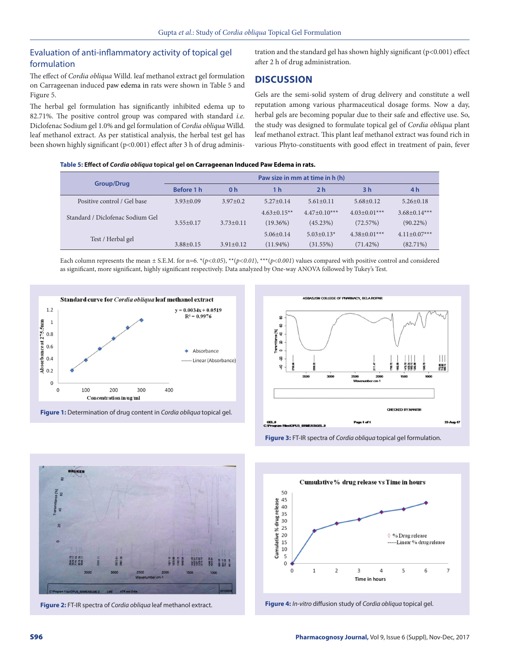# Evaluation of anti-inflammatory activity of topical gel formulation

The effect of *Cordia obliqua* Willd. leaf methanol extract gel formulation on Carrageenan induced paw edema in rats were shown in Table 5 and Figure 5.

The herbal gel formulation has significantly inhibited edema up to 82.71%. The positive control group was compared with standard *i.e.* Diclofenac Sodium gel 1.0% and gel formulation of *Cordia obliqua* Willd. leaf methanol extract. As per statistical analysis, the herbal test gel has been shown highly significant (p<0.001) effect after 3 h of drug administration and the standard gel has shown highly significant (p<0.001) effect after 2 h of drug administration.

# **DISCUSSION**

Gels are the semi-solid system of drug delivery and constitute a well reputation among various pharmaceutical dosage forms. Now a day, herbal gels are becoming popular due to their safe and effective use. So, the study was designed to formulate topical gel of *Cordia obliqua* plant leaf methanol extract. This plant leaf methanol extract was found rich in various Phyto-constituents with good effect in treatment of pain, fever

**Table 5: Effect of** *Cordia obliqua* **topical gel on Carrageenan Induced Paw Edema in rats.**

|                                  | Paw size in mm at time in h (h) |                 |                 |                 |                    |                    |
|----------------------------------|---------------------------------|-----------------|-----------------|-----------------|--------------------|--------------------|
| <b>Group/Drug</b>                | Before 1 h                      | 0 <sub>h</sub>  | 1 h             | 2 <sub>h</sub>  | 3 <sub>h</sub>     | 4 h                |
| Positive control / Gel base      | $3.93 + 0.09$                   | $3.97+0.2$      | $5.27+0.14$     | $5.61 \pm 0.11$ | $5.68 + 0.12$      | $5.26 + 0.18$      |
| Standard / Diclofenac Sodium Gel |                                 |                 | $4.63+0.15**$   | $4.47+0.10***$  | $4.03+0.01***$     | $3.68 \pm 0.14***$ |
|                                  | $3.55+0.17$                     | $3.73 \pm 0.11$ | $(19.36\%)$     | (45.23%)        | (72.57%)           | $(90.22\%)$        |
| Test / Herbal gel                |                                 |                 | $5.06 \pm 0.14$ | $5.03+0.13*$    | $4.38 \pm 0.01***$ | $4.11 \pm 0.07***$ |
|                                  | $3.88 + 0.15$                   | $3.91 + 0.12$   | $(11.94\%)$     | (31.55%)        | $(71.42\%)$        | $(82.71\%)$        |

Each column represents the mean  $\pm$  S.E.M. for n=6.  $*(p<0.05)$ ,  $**$ ( $p<0.01$ ),  $***$ ( $p<0.001$ ) values compared with positive control and considered as significant, more significant, highly significant respectively. Data analyzed by One-way ANOVA followed by Tukey's Test.



**Figure 1:** Determination of drug content in *Cordia obliqua* topical gel.



**Figure 3:** FT-IR spectra of *Cordia obliqua* topical gel formulation.



**Figure 2:** FT-IR spectra of *Cordia obliqua* leaf methanol extract. **Figure 4:** *In-vitro* diffusion study of *Cordia obliqua* topical gel.

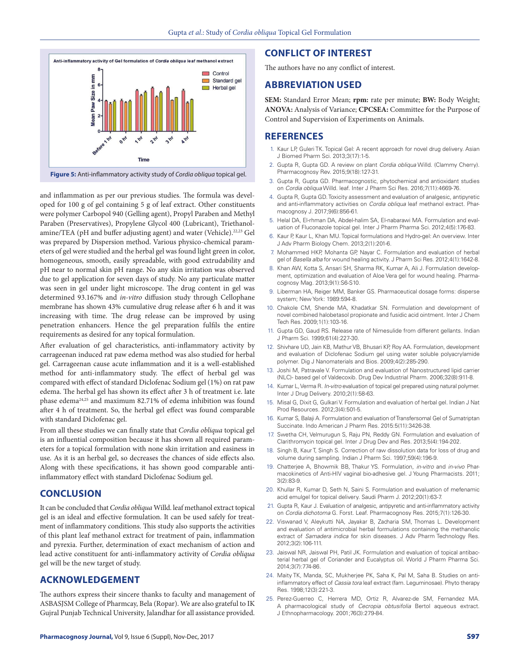

**Figure 5:** Anti-inflammatory activity study of *Cordia obliqua* topical gel.

and inflammation as per our previous studies. The formula was developed for 100 g of gel containing 5 g of leaf extract. Other constituents were polymer Carbopol 940 (Gelling agent), Propyl Paraben and Methyl Paraben (Preservatives), Propylene Glycol 400 (Lubricant), Triethanolamine/TEA (pH and buffer adjusting agent) and water (Vehicle).<sup>22,23</sup> Gel was prepared by Dispersion method. Various physico-chemical parameters of gel were studied and the herbal gel was found light green in color, homogeneous, smooth, easily spreadable, with good extrudability and pH near to normal skin pH range. No any skin irritation was observed due to gel application for seven days of study. No any particulate matter was seen in gel under light microscope. The drug content in gel was determined 93.167% and *in-vitro* diffusion study through Cellophane membrane has shown 43% cumulative drug release after 6 h and it was increasing with time. The drug release can be improved by using penetration enhancers. Hence the gel preparation fulfils the entire requirements as desired for any topical formulation.

After evaluation of gel characteristics, anti-inflammatory activity by carrageenan induced rat paw edema method was also studied for herbal gel. Carrageenan cause acute inflammation and it is a well-established method for anti-inflammatory study. The effect of herbal gel was compared with effect of standard Diclofenac Sodium gel (1%) on rat paw edema. The herbal gel has shown its effect after 3 h of treatment i.e. late phase edema24,25 and maximum 82.71% of edema inhibition was found after 4 h of treatment. So, the herbal gel effect was found comparable with standard Diclofenac gel.

From all these studies we can finally state that *Cordia obliqua* topical gel is an influential composition because it has shown all required parameters for a topical formulation with none skin irritation and easiness in use. As it is an herbal gel, so decreases the chances of side effects also. Along with these specifications, it has shown good comparable antiinflammatory effect with standard Diclofenac Sodium gel.

#### **CONCLUSION**

It can be concluded that *Cordia obliqua* Willd. leaf methanol extract topical gel is an ideal and effective formulation. It can be used safely for treatment of inflammatory conditions. This study also supports the activities of this plant leaf methanol extract for treatment of pain, inflammation and pyrexia. Further, determination of exact mechanism of action and lead active constituent for anti-inflammatory activity of *Cordia obliqua* gel will be the new target of study.

# **ACKNOWLEDGEMENT**

The authors express their sincere thanks to faculty and management of ASBASJSM College of Pharmcay, Bela (Ropar). We are also grateful to IK Gujral Punjab Technical University, Jalandhar for all assistance provided.

## **CONFLICT OF INTEREST**

The authors have no any conflict of interest.

#### **ABBREVIATION USED**

**SEM:** Standard Error Mean; **rpm:** rate per minute; **BW:** Body Weight; **ANOVA:** Analysis of Variance; **CPCSEA:** Committee for the Purpose of Control and Supervision of Experiments on Animals.

## **REFERENCES**

- 1. Kaur LP, Guleri TK. Topical Gel: A recent approach for novel drug delivery. Asian J Biomed Pharm Sci. 2013;3(17):1-5.
- 2. Gupta R, Gupta GD. A review on plant *Cordia obliqua* Willd. (Clammy Cherry). Pharmacognosy Rev. 2015;9(18):127-31.
- Gupta R, Gupta GD. Pharmacognostic, phytochemical and antioxidant studies on *Cordia obliqua* Willd. leaf. Inter J Pharm Sci Res. 2016;7(11):4669-76.
- 4. Gupta R, Gupta GD. Toxicity assessment and evaluation of analgesic, antipyretic and anti-inflammatory activities on *Cordia obliqua* leaf methanol extract. Pharmacognosy J. 2017;9(6):856-61.
- 5. Helal DA, El-rhman DA, Abdel-halim SA, El-nabarawi MA. Formulation and evaluation of Fluconazole topical gel. Inter J Pharm Pharma Sci. 2012;4(5):176-83.
- 6. Kaur P, Kaur L, Khan MU. Topical formulations and Hydro-gel: An overview. Inter J Adv Pharm Biology Chem. 2013;2(1):201-6.
- 7. Mohammed HKP, Mohanta GP, Nayar C. Formulation and evaluation of herbal gel of *Basella alba* for wound healing activity. J Pharm Sci Res. 2012;4(1):1642-8.
- 8. Khan AW, Kotta S, Ansari SH, Sharma RK, Kumar A, Ali J. Formulation development, optimization and evaluation of Aloe Vera gel for wound healing. Pharmacognosy Mag. 2013;9(1):S6-S10.
- 9. Liberman HA, Reiger MM, Banker GS. Pharmaceutical dosage forms: disperse system; New York: 1989:594-8.
- 10. Chakole CM, Shende MA, Khadatkar SN. Formulation and development of novel combined halobetasol propionate and fusidic acid ointment. Inter J Chem Tech Res. 2009;1(1):103-16.
- 11. Gupta GD, Gaud RS. Release rate of Nimesulide from different gellants. Indian J Pharm Sci. 1999;61(4):227-30.
- 12. Shivhare UD, Jain KB, Mathur VB, Bhusari KP, Roy AA. Formulation, development and evaluation of Diclofenac Sodium gel using water soluble polyacrylamide polymer. Dig J Nanomaterials and Bios. 2009;4(2):285-290.
- 13. Joshi M, Patravale V. Formulation and evaluation of Nanostructured lipid carrier (NLC)- based gel of Valdecoxib. Drug Dev Industrial Pharm. 2006;32(8):911-8.
- 14. Kumar L, Verma R. *In-vitro* evaluation of topical gel prepared using natural polymer. Inter J Drug Delivery. 2010;2(1):58-63.
- 15. Misal G, Dixit G, Gulkari V. Formulation and evaluation of herbal gel. Indian J Nat Prod Resources. 2012;3(4):501-5.
- 16. Kumar S, Balaji A. Formulation and evaluation of Transfersomal Gel of Sumatriptan Succinate. Indo American J Pharm Res. 2015:5(11):3426-38.
- 17. Swetha CH, Velmurugun S, Raju PN, Reddy GN. Formulation and evaluation of Clarithromycin topical gel. Inter J Drug Dev and Res. 2013;5(4):194-202.
- 18. Singh B, Kaur T, Singh S. Correction of raw dissolution data for loss of drug and volume during sampling. Indian J Pharm Sci. 1997;59(4):196-9.
- 19. Chatterjee A, Bhowmik BB, Thakur YS. Formulation, *in-vitro* and *in-vivo* Pharmacokinetics of Anti-HIV vaginal bio-adhesive gel. J Young Pharmacists. 2011; 3(2):83-9.
- 20. Khullar R, Kumar D, Seth N, Saini S. Formulation and evaluation of mefenamic acid emulgel for topical delivery. Saudi Pharm J. 2012;20(1):63-7.
- 21. Gupta R, Kaur J. Evaluation of analgesic, antipyretic and anti-inflammatory activity on *Cordia dichotoma* G. Forst. Leaf. Pharmacognosy Res. 2015;7(1):126-30.
- 22. Viswanad V, Aleykutti NA, Jayakar B, Zacharia SM, Thomas L. Development and evaluation of antimicrobial herbal formulations containing the methanolic extract of *Samadera indica* for skin diseases. J Adv Pharm Technology Res. 2012;3(2):106-111.
- 23. Jaiswal NR, Jaiswal PH, Patil JK. Formulation and evaluation of topical antibacterial herbal gel of Coriander and Eucalyptus oil. World J Pharm Pharma Sci. 2014;3(7):774-86.
- 24. Maity TK, Manda, SC, Mukherjee PK, Saha K, Pal M, Saha B. Studies on antiinflammatory effect of *Cassia tora* leaf extract (fam. Leguminosae). Phyto therapy Res. 1998;12(3):221-3.
- 25. Perez-Guerreo C, Herrera MD, Ortiz R, Alvarez-de SM, Fernandez MA. A pharmacological study of *Cecropia obtusifolia* Bertol aqueous extract. J Ethnopharmacology. 2001;76(3):279-84.